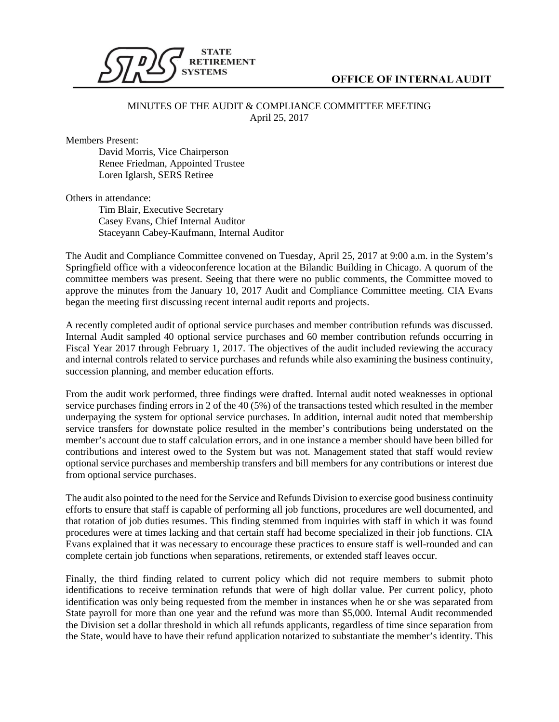

## **OFFICE OF INTERNAL AUDIT**

## MINUTES OF THE AUDIT & COMPLIANCE COMMITTEE MEETING April 25, 2017

Members Present:

David Morris, Vice Chairperson Renee Friedman, Appointed Trustee Loren Iglarsh, SERS Retiree

Others in attendance:

Tim Blair, Executive Secretary Casey Evans, Chief Internal Auditor Staceyann Cabey-Kaufmann, Internal Auditor

The Audit and Compliance Committee convened on Tuesday, April 25, 2017 at 9:00 a.m. in the System's Springfield office with a videoconference location at the Bilandic Building in Chicago. A quorum of the committee members was present. Seeing that there were no public comments, the Committee moved to approve the minutes from the January 10, 2017 Audit and Compliance Committee meeting. CIA Evans began the meeting first discussing recent internal audit reports and projects.

A recently completed audit of optional service purchases and member contribution refunds was discussed. Internal Audit sampled 40 optional service purchases and 60 member contribution refunds occurring in Fiscal Year 2017 through February 1, 2017. The objectives of the audit included reviewing the accuracy and internal controls related to service purchases and refunds while also examining the business continuity, succession planning, and member education efforts.

From the audit work performed, three findings were drafted. Internal audit noted weaknesses in optional service purchases finding errors in 2 of the 40 (5%) of the transactions tested which resulted in the member underpaying the system for optional service purchases. In addition, internal audit noted that membership service transfers for downstate police resulted in the member's contributions being understated on the member's account due to staff calculation errors, and in one instance a member should have been billed for contributions and interest owed to the System but was not. Management stated that staff would review optional service purchases and membership transfers and bill members for any contributions or interest due from optional service purchases.

The audit also pointed to the need for the Service and Refunds Division to exercise good business continuity efforts to ensure that staff is capable of performing all job functions, procedures are well documented, and that rotation of job duties resumes. This finding stemmed from inquiries with staff in which it was found procedures were at times lacking and that certain staff had become specialized in their job functions. CIA Evans explained that it was necessary to encourage these practices to ensure staff is well-rounded and can complete certain job functions when separations, retirements, or extended staff leaves occur.

Finally, the third finding related to current policy which did not require members to submit photo identifications to receive termination refunds that were of high dollar value. Per current policy, photo identification was only being requested from the member in instances when he or she was separated from State payroll for more than one year and the refund was more than \$5,000. Internal Audit recommended the Division set a dollar threshold in which all refunds applicants, regardless of time since separation from the State, would have to have their refund application notarized to substantiate the member's identity. This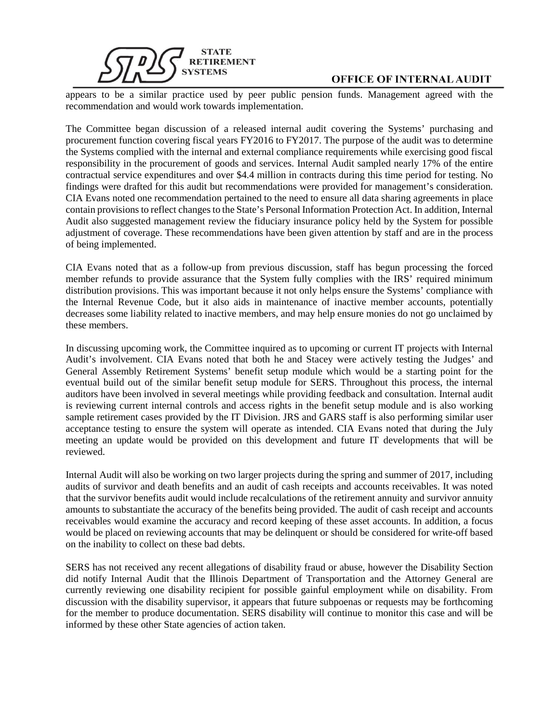

## **OFFICE OF INTERNAL AUDIT**

appears to be a similar practice used by peer public pension funds. Management agreed with the recommendation and would work towards implementation.

The Committee began discussion of a released internal audit covering the Systems' purchasing and procurement function covering fiscal years FY2016 to FY2017. The purpose of the audit was to determine the Systems complied with the internal and external compliance requirements while exercising good fiscal responsibility in the procurement of goods and services. Internal Audit sampled nearly 17% of the entire contractual service expenditures and over \$4.4 million in contracts during this time period for testing. No findings were drafted for this audit but recommendations were provided for management's consideration. CIA Evans noted one recommendation pertained to the need to ensure all data sharing agreements in place contain provisions to reflect changes to the State's Personal Information Protection Act. In addition, Internal Audit also suggested management review the fiduciary insurance policy held by the System for possible adjustment of coverage. These recommendations have been given attention by staff and are in the process of being implemented.

CIA Evans noted that as a follow-up from previous discussion, staff has begun processing the forced member refunds to provide assurance that the System fully complies with the IRS' required minimum distribution provisions. This was important because it not only helps ensure the Systems' compliance with the Internal Revenue Code, but it also aids in maintenance of inactive member accounts, potentially decreases some liability related to inactive members, and may help ensure monies do not go unclaimed by these members.

In discussing upcoming work, the Committee inquired as to upcoming or current IT projects with Internal Audit's involvement. CIA Evans noted that both he and Stacey were actively testing the Judges' and General Assembly Retirement Systems' benefit setup module which would be a starting point for the eventual build out of the similar benefit setup module for SERS. Throughout this process, the internal auditors have been involved in several meetings while providing feedback and consultation. Internal audit is reviewing current internal controls and access rights in the benefit setup module and is also working sample retirement cases provided by the IT Division. JRS and GARS staff is also performing similar user acceptance testing to ensure the system will operate as intended. CIA Evans noted that during the July meeting an update would be provided on this development and future IT developments that will be reviewed.

Internal Audit will also be working on two larger projects during the spring and summer of 2017, including audits of survivor and death benefits and an audit of cash receipts and accounts receivables. It was noted that the survivor benefits audit would include recalculations of the retirement annuity and survivor annuity amounts to substantiate the accuracy of the benefits being provided. The audit of cash receipt and accounts receivables would examine the accuracy and record keeping of these asset accounts. In addition, a focus would be placed on reviewing accounts that may be delinquent or should be considered for write-off based on the inability to collect on these bad debts.

SERS has not received any recent allegations of disability fraud or abuse, however the Disability Section did notify Internal Audit that the Illinois Department of Transportation and the Attorney General are currently reviewing one disability recipient for possible gainful employment while on disability. From discussion with the disability supervisor, it appears that future subpoenas or requests may be forthcoming for the member to produce documentation. SERS disability will continue to monitor this case and will be informed by these other State agencies of action taken.